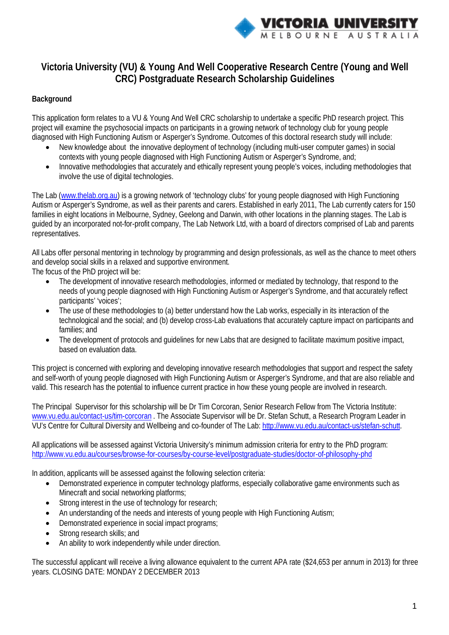

# **Victoria University (VU) & Young And Well Cooperative Research Centre (Young and Well CRC) Postgraduate Research Scholarship Guidelines**

## **Background**

This application form relates to a VU & Young And Well CRC scholarship to undertake a specific PhD research project. This project will examine the psychosocial impacts on participants in a growing network of technology club for young people diagnosed with High Functioning Autism or Asperger's Syndrome. Outcomes of this doctoral research study will include:

- New knowledge about the innovative deployment of technology (including multi-user computer games) in social contexts with young people diagnosed with High Functioning Autism or Asperger's Syndrome, and;
- Innovative methodologies that accurately and ethically represent young people's voices, including methodologies that involve the use of digital technologies.

The Lab (www.thelab.org.au) is a growing network of 'technology clubs' for young people diagnosed with High Functioning Autism or Asperger's Syndrome, as well as their parents and carers. Established in early 2011, The Lab currently caters for 150 families in eight locations in Melbourne, Sydney, Geelong and Darwin, with other locations in the planning stages. The Lab is guided by an incorporated not-for-profit company, The Lab Network Ltd, with a board of directors comprised of Lab and parents representatives.

All Labs offer personal mentoring in technology by programming and design professionals, as well as the chance to meet others and develop social skills in a relaxed and supportive environment.

The focus of the PhD project will be:

- The development of innovative research methodologies, informed or mediated by technology, that respond to the needs of young people diagnosed with High Functioning Autism or Asperger's Syndrome, and that accurately reflect participants' 'voices';
- The use of these methodologies to (a) better understand how the Lab works, especially in its interaction of the technological and the social; and (b) develop cross-Lab evaluations that accurately capture impact on participants and families; and
- The development of protocols and guidelines for new Labs that are designed to facilitate maximum positive impact, based on evaluation data.

This project is concerned with exploring and developing innovative research methodologies that support and respect the safety and self-worth of young people diagnosed with High Functioning Autism or Asperger's Syndrome, and that are also reliable and valid. This research has the potential to influence current practice in how these young people are involved in research.

The Principal Supervisor for this scholarship will be Dr Tim Corcoran, Senior Research Fellow from The Victoria Institute: [www.vu.edu.au/contact-us/tim-corcoran](http://www.vu.edu.au/contact-us/tim-corcoran) . The Associate Supervisor will be Dr. Stefan Schutt, a Research Program Leader in VU's Centre for Cultural Diversity and Wellbeing and co-founder of The Lab: [http://www.vu.edu.au/contact-us/stefan-schutt.](http://www.vu.edu.au/contact-us/stefan-schutt)

All applications will be assessed against Victoria University's minimum admission criteria for entry to the PhD program: http://www.vu.edu.au/courses/browse-for-courses/by-course-level/postgraduate-studies/doctor-of-philosophy-phd

In addition, applicants will be assessed against the following selection criteria:

- Demonstrated experience in computer technology platforms, especially collaborative game environments such as Minecraft and social networking platforms;
- Strong interest in the use of technology for research;
- An understanding of the needs and interests of young people with High Functioning Autism;
- Demonstrated experience in social impact programs;
- Strong research skills; and
- An ability to work independently while under direction.

The successful applicant will receive a living allowance equivalent to the current APA rate (\$24,653 per annum in 2013) for three years. CLOSING DATE: MONDAY 2 DECEMBER 2013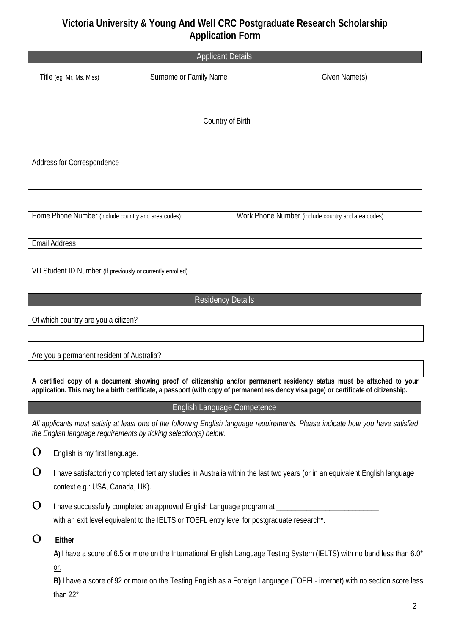# **Victoria University & Young And Well CRC Postgraduate Research Scholarship Application Form**

|                          | <b>Applicant Details</b> |               |
|--------------------------|--------------------------|---------------|
|                          |                          |               |
| Title (eg. Mr, Ms, Miss) | Surname or Family Name   | Given Name(s) |
|                          |                          |               |
|                          |                          |               |
|                          |                          |               |

Country of Birth

Address for Correspondence

Home Phone Number (include country and area codes): Work Phone Number (include country and area codes):

Email Address

VU Student ID Number (If previously or currently enrolled)

Residency Details

Of which country are you a citizen?

## Are you a permanent resident of Australia?

**A certified copy of a document showing proof of citizenship and/or permanent residency status must be attached to your application. This may be a birth certificate, a passport (with copy of permanent residency visa page) or certificate of citizenship.**

## English Language Competence

*All applicants must satisfy at least one of the following English language requirements. Please indicate how you have satisfied the English language requirements by ticking selection(s) below.*

- $\mathbf{O}$  English is my first language.
- $\Omega$  I have satisfactorily completed tertiary studies in Australia within the last two years (or in an equivalent English language context e.g.: USA, Canada, UK).
- $\mathbf O_-$  I have successfully completed an approved English Language program at with an exit level equivalent to the IELTS or TOEFL entry level for postgraduate research\*.
- ο **Either**

**A)** I have a score of 6.5 or more on the International English Language Testing System (IELTS) with no band less than 6.0\* or.

**B)** I have a score of 92 or more on the Testing English as a Foreign Language (TOEFL- internet) with no section score less than 22\*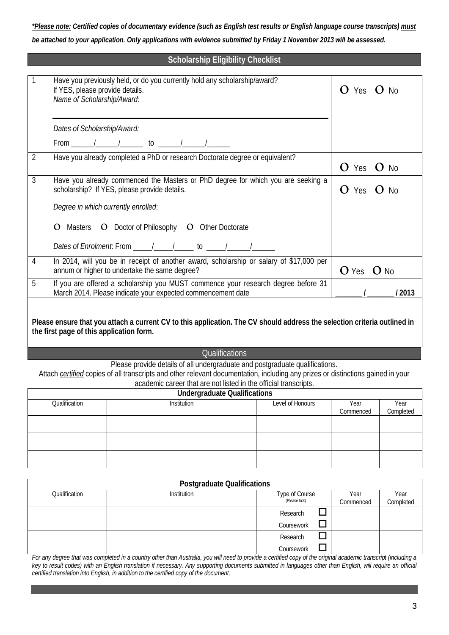*\*Please note: Certified copies of documentary evidence (such as English test results or English language course transcripts) must be attached to your application. Only applications with evidence submitted by Friday 1 November 2013 will be assessed.*

## **Scholarship Eligibility Checklist**

|                | Have you previously held, or do you currently hold any scholarship/award?<br>If YES, please provide details.                                                                                                                                                                                                                                                                                               | $O$ Yes $O$ No    |
|----------------|------------------------------------------------------------------------------------------------------------------------------------------------------------------------------------------------------------------------------------------------------------------------------------------------------------------------------------------------------------------------------------------------------------|-------------------|
|                | Name of Scholarship/Award:                                                                                                                                                                                                                                                                                                                                                                                 |                   |
|                | Dates of Scholarship/Award:                                                                                                                                                                                                                                                                                                                                                                                |                   |
|                |                                                                                                                                                                                                                                                                                                                                                                                                            |                   |
| $\overline{2}$ | Have you already completed a PhD or research Doctorate degree or equivalent?                                                                                                                                                                                                                                                                                                                               | $O$ Yes<br>$O$ No |
| $\mathfrak{Z}$ | Have you already commenced the Masters or PhD degree for which you are seeking a<br>scholarship? If YES, please provide details.                                                                                                                                                                                                                                                                           | $O$ Yes $O$ No    |
|                | Degree in which currently enrolled:                                                                                                                                                                                                                                                                                                                                                                        |                   |
|                | Masters <b>O</b> Doctor of Philosophy <b>O</b> Other Doctorate                                                                                                                                                                                                                                                                                                                                             |                   |
|                | Dates of Enrolment: From $\frac{1}{\sqrt{1-\frac{1}{\sqrt{1-\frac{1}{\sqrt{1-\frac{1}{\sqrt{1-\frac{1}{\sqrt{1-\frac{1}{\sqrt{1-\frac{1}{\sqrt{1-\frac{1}{\sqrt{1-\frac{1}{\sqrt{1-\frac{1}{\sqrt{1-\frac{1}{\sqrt{1-\frac{1}{\sqrt{1-\frac{1}{\sqrt{1-\frac{1}{\sqrt{1-\frac{1}{\sqrt{1-\frac{1}{\sqrt{1-\frac{1}{\sqrt{1-\frac{1}{\sqrt{1-\frac{1}{\sqrt{1-\frac{1}{\sqrt{1-\frac{1}{\sqrt{1-\frac{1}{\$ |                   |
| 4              | In 2014, will you be in receipt of another award, scholarship or salary of \$17,000 per<br>annum or higher to undertake the same degree?                                                                                                                                                                                                                                                                   | $O$ Yes $O$ No    |
| 5              | If you are offered a scholarship you MUST commence your research degree before 31<br>March 2014. Please indicate your expected commencement date                                                                                                                                                                                                                                                           | / 2013            |
|                |                                                                                                                                                                                                                                                                                                                                                                                                            |                   |

**Please ensure that you attach a current CV to this application. The CV should address the selection criteria outlined in the first page of this application form.** 

#### **Qualifications**

Please provide details of all undergraduate and postgraduate qualifications.

Attach *certified* copies of all transcripts and other relevant documentation, including any prizes or distinctions gained in your academic career that are not listed in the official transcripts.

|               | <b>Undergraduate Qualifications</b> |                  |           |  |
|---------------|-------------------------------------|------------------|-----------|--|
| Qualification | <b>Institution</b>                  | Level of Honours | Year      |  |
|               |                                     |                  | Commenced |  |
|               |                                     |                  |           |  |
|               |                                     |                  |           |  |
|               |                                     |                  |           |  |
|               |                                     |                  |           |  |

| <b>Postgraduate Qualifications</b> |             |                                 |                   |                   |  |
|------------------------------------|-------------|---------------------------------|-------------------|-------------------|--|
| Qualification                      | Institution | Type of Course<br>(Please tick) | Year<br>Commenced | Year<br>Completed |  |
|                                    |             | Research                        |                   |                   |  |
|                                    |             | Coursework                      |                   |                   |  |
|                                    |             | Research                        |                   |                   |  |
|                                    |             | Coursework                      |                   |                   |  |

*For any degree that was completed in a country other than Australia, you will need to provide a certified copy of the original academic transcript (including a key to result codes) with an English translation if necessary. Any supporting documents submitted in languages other than English, will require an official certified translation into English, in addition to the certified copy of the document.*

Year Completed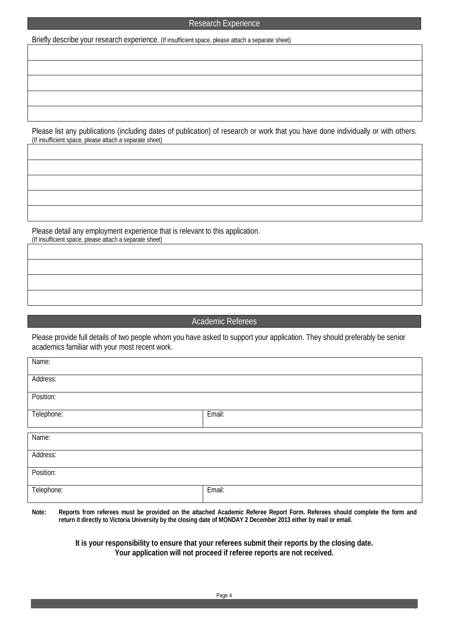### Research Experience

Briefly describe your research experience. (If insufficient space, please attach a separate sheet)

Please list any publications (including dates of publication) of research or work that you have done individually or with others. (If insufficient space, please attach a separate sheet)

Please detail any employment experience that is relevant to this application. (If insufficient space, please attach a separate sheet)

### Academic Referees

Please provide full details of two people whom you have asked to support your application. They should preferably be senior academics familiar with your most recent work.

| Name:      |        |
|------------|--------|
| Address:   |        |
| Position:  |        |
| Telephone: | Email: |
| Name:      |        |
| Address:   |        |
| Position:  |        |
| Telephone: | Email: |

**Note: Reports from referees must be provided on the attached Academic Referee Report Form. Referees should complete the form and return it directly to Victoria University by the closing date of MONDAY 2 December 2013 either by mail or email.**

> **It is your responsibility to ensure that your referees submit their reports by the closing date. Your application will not proceed if referee reports are not received.**

4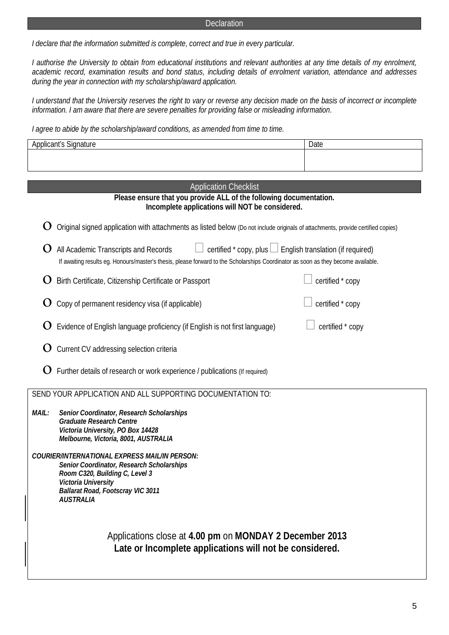#### **Declaration**

*I declare that the information submitted is complete, correct and true in every particular.* 

*I authorise the University to obtain from educational institutions and relevant authorities at any time details of my enrolment, academic record, examination results and bond status, including details of enrolment variation, attendance and addresses during the year in connection with my scholarship/award application.*

*I understand that the University reserves the right to vary or reverse any decision made on the basis of incorrect or incomplete information. I am aware that there are severe penalties for providing false or misleading information.*

*I agree to abide by the scholarship/award conditions, as amended from time to time.*

| Applicant's Signature                                                                                                                                                                                                                   | Date             |
|-----------------------------------------------------------------------------------------------------------------------------------------------------------------------------------------------------------------------------------------|------------------|
|                                                                                                                                                                                                                                         |                  |
|                                                                                                                                                                                                                                         |                  |
| <b>Application Checklist</b>                                                                                                                                                                                                            |                  |
| Please ensure that you provide ALL of the following documentation.<br>Incomplete applications will NOT be considered.                                                                                                                   |                  |
| Original signed application with attachments as listed below (Do not include originals of attachments, provide certified copies)                                                                                                        |                  |
| certified * copy, plus □ English translation (if required)<br>All Academic Transcripts and Records<br>If awaiting results eg. Honours/master's thesis, please forward to the Scholarships Coordinator as soon as they become available. |                  |
| Birth Certificate, Citizenship Certificate or Passport                                                                                                                                                                                  | certified * copy |
| Copy of permanent residency visa (if applicable)                                                                                                                                                                                        | certified * copy |
| Evidence of English language proficiency (if English is not first language)                                                                                                                                                             | certified * copy |
| Current CV addressing selection criteria                                                                                                                                                                                                |                  |
| Further details of research or work experience / publications (If required)                                                                                                                                                             |                  |
| SEND YOUR APPLICATION AND ALL SUPPORTING DOCUMENTATION TO:                                                                                                                                                                              |                  |
| MAIL:<br>Senior Coordinator, Research Scholarships<br><b>Graduate Research Centre</b><br>Victoria University, PO Box 14428<br>Melbourne, Victoria, 8001, AUSTRALIA                                                                      |                  |
| COURIER/INTERNATIONAL EXPRESS MAIL/IN PERSON:<br>Senior Coordinator, Research Scholarships<br>Room C320, Building C, Level 3<br>Victoria University<br><b>Ballarat Road, Footscray VIC 3011</b><br><b>AUSTRALIA</b>                     |                  |
| Applications close at 4.00 pm on MONDAY 2 December 2013<br>Late or Incomplete applications will not be considered.                                                                                                                      |                  |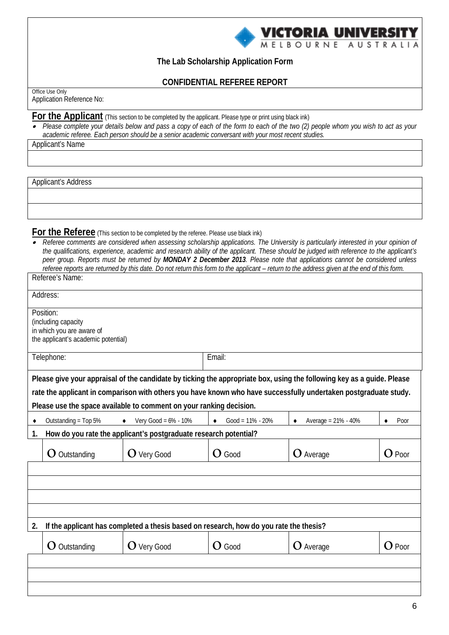

**The Lab Scholarship Application Form** 

**CONFIDENTIAL REFEREE REPORT**

Office Use Only Application Reference No:

For the Applicant (This section to be completed by the applicant. Please type or print using black ink)

• *Please complete your details below and pass a copy of each of the form to each of the two (2) people whom you wish to act as your academic referee. Each person should be a senior academic conversant with your most recent studies.*

Applicant's Name

Applicant's Address

**For the Referee** (This section to be completed by the referee. Please use black ink)

• *Referee comments are considered when assessing scholarship applications. The University is particularly interested in your opinion of the qualifications, experience, academic and research ability of the applicant. These should be judged with reference to the applicant's peer group. Reports must be returned by MONDAY 2 December 2013. Please note that applications cannot be considered unless referee reports are returned by this date. Do not return this form to the applicant – return to the address given at the end of this form.*

|    | Referee's Name:                                                                                      |                                                                                        |                                   |                                                                                                                                                                                                                                            |          |
|----|------------------------------------------------------------------------------------------------------|----------------------------------------------------------------------------------------|-----------------------------------|--------------------------------------------------------------------------------------------------------------------------------------------------------------------------------------------------------------------------------------------|----------|
|    | Address:                                                                                             |                                                                                        |                                   |                                                                                                                                                                                                                                            |          |
|    | Position:<br>(including capacity<br>in which you are aware of<br>the applicant's academic potential) |                                                                                        |                                   |                                                                                                                                                                                                                                            |          |
|    | Telephone:                                                                                           |                                                                                        | Email:                            |                                                                                                                                                                                                                                            |          |
|    |                                                                                                      | Please use the space available to comment on your ranking decision.                    |                                   | Please give your appraisal of the candidate by ticking the appropriate box, using the following key as a guide. Please<br>rate the applicant in comparison with others you have known who have successfully undertaken postgraduate study. |          |
|    | Outstanding = Top 5%                                                                                 | Very Good = $6\%$ - $10\%$<br>$\bullet$                                                | $Good = 11\% - 20\%$<br>$\bullet$ | Average = 21% - 40%                                                                                                                                                                                                                        | Poor     |
| 1. |                                                                                                      | How do you rate the applicant's postgraduate research potential?                       |                                   |                                                                                                                                                                                                                                            |          |
|    | $\mathbf O$ Outstanding                                                                              | $O$ Very Good                                                                          | $O$ Good                          | O Average                                                                                                                                                                                                                                  | $O$ Poor |
|    |                                                                                                      |                                                                                        |                                   |                                                                                                                                                                                                                                            |          |
|    |                                                                                                      |                                                                                        |                                   |                                                                                                                                                                                                                                            |          |
| 2. |                                                                                                      | If the applicant has completed a thesis based on research, how do you rate the thesis? |                                   |                                                                                                                                                                                                                                            |          |
|    | $\mathbf O$ Outstanding                                                                              | $O$ Very Good                                                                          | $O$ Good                          | O Average                                                                                                                                                                                                                                  | $O$ Poor |
|    |                                                                                                      |                                                                                        |                                   |                                                                                                                                                                                                                                            |          |
|    |                                                                                                      |                                                                                        |                                   |                                                                                                                                                                                                                                            |          |
|    |                                                                                                      |                                                                                        |                                   |                                                                                                                                                                                                                                            |          |